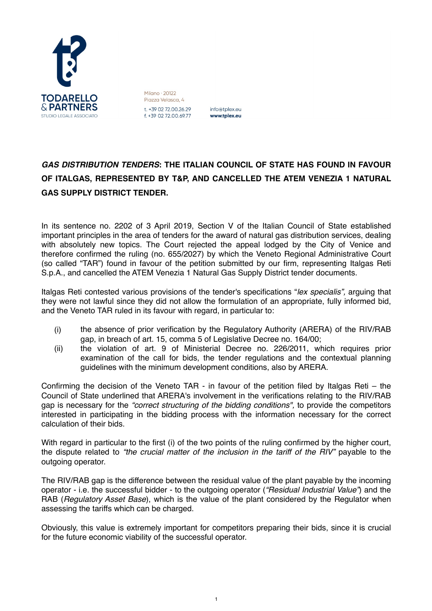

Milano · 20122 Piazza Velasca, 4 t. +39 02 72.00.26.29 f. +39 02 72.00.69.77

info@tplex.eu www.tplex.eu

## *GAS DISTRIBUTION TENDERS***: THE ITALIAN COUNCIL OF STATE HAS FOUND IN FAVOUR OF ITALGAS, REPRESENTED BY T&P, AND CANCELLED THE ATEM VENEZIA 1 NATURAL GAS SUPPLY DISTRICT TENDER.**

In its sentence no. 2202 of 3 April 2019, Section V of the Italian Council of State established important principles in the area of tenders for the award of natural gas distribution services, dealing with absolutely new topics. The Court rejected the appeal lodged by the City of Venice and therefore confirmed the ruling (no. 655/2027) by which the Veneto Regional Administrative Court (so called "TAR") found in favour of the petition submitted by our firm, representing Italgas Reti S.p.A., and cancelled the ATEM Venezia 1 Natural Gas Supply District tender documents.

Italgas Reti contested various provisions of the tender's specifications "*lex specialis",* arguing that they were not lawful since they did not allow the formulation of an appropriate, fully informed bid, and the Veneto TAR ruled in its favour with regard, in particular to:

- (i) the absence of prior verification by the Regulatory Authority (ARERA) of the RIV/RAB gap, in breach of art. 15, comma 5 of Legislative Decree no. 164/00;
- (ii) the violation of art. 9 of Ministerial Decree no. 226/2011, which requires prior examination of the call for bids, the tender regulations and the contextual planning guidelines with the minimum development conditions, also by ARERA.

Confirming the decision of the Veneto TAR - in favour of the petition filed by Italgas Reti – the Council of State underlined that ARERA's involvement in the verifications relating to the RIV/RAB gap is necessary for the *"correct structuring of the bidding conditions",* to provide the competitors interested in participating in the bidding process with the information necessary for the correct calculation of their bids.

With regard in particular to the first (i) of the two points of the ruling confirmed by the higher court, the dispute related to *"the crucial matter of the inclusion in the tariff of the RIV"* payable to the outgoing operator.

The RIV/RAB gap is the difference between the residual value of the plant payable by the incoming operator - i.e. the successful bidder - to the outgoing operator (*"Residual Industrial Value"*) and the RAB (*Regulatory Asset Base*), which is the value of the plant considered by the Regulator when assessing the tariffs which can be charged.

Obviously, this value is extremely important for competitors preparing their bids, since it is crucial for the future economic viability of the successful operator.